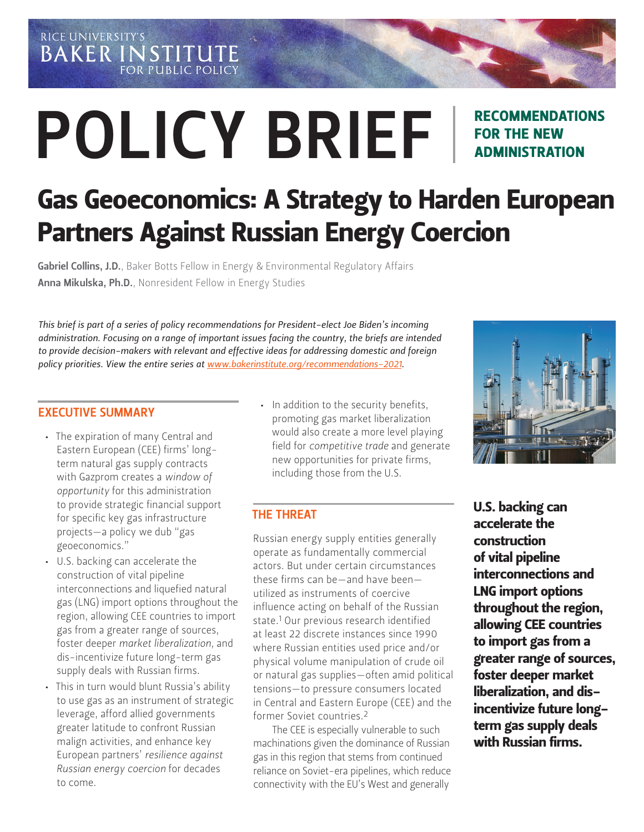RICE UNIVERSITY'S **BAKER INSTITUTE FOR PUBLIC POLICY** 

# POLICY BRIEF

# RECOMMENDATIONS FOR THE NEW ADMINISTRATION

# Gas Geoeconomics: A Strategy to Harden European Partners Against Russian Energy Coercion

Gabriel Collins, J.D.[, Baker Botts Fellow in Energy & Environmental Regulatory Affairs](https://www.bakerinstitute.org/experts/gabe-collins/) Anna Mikulska, Ph.D.[, Nonresident Fellow in Energy Studies](https://www.bakerinstitute.org/experts/anna-mikulska/)

*This brief is part of a series of policy recommendations for President-elect Joe Biden's incoming administration. Focusing on a range of important issues facing the country, the briefs are intended to provide decision-makers with relevant and effective ideas for addressing domestic and foreign policy priorities. View the entire series at [www.bakerinstitute.org/recommendations-2021](http://www.bakerinstitute.org/recommendations-2021).*

#### EXECUTIVE SUMMARY

- The expiration of many Central and Eastern European (CEE) firms' longterm natural gas supply contracts with Gazprom creates a *window of opportunity* for this administration to provide strategic financial support for specific key gas infrastructure projects—a policy we dub "gas geoeconomics."
- U.S. backing can accelerate the construction of vital pipeline interconnections and liquefied natural gas (LNG) import options throughout the region, allowing CEE countries to import gas from a greater range of sources, foster deeper *market liberalization*, and dis-incentivize future long-term gas supply deals with Russian firms.
- This in turn would blunt Russia's ability to use gas as an instrument of strategic leverage, afford allied governments greater latitude to confront Russian malign activities, and enhance key European partners' *resilience against Russian energy coercion* for decades to come.

• In addition to the security benefits, promoting gas market liberalization would also create a more level playing field for *competitive trade* and generate new opportunities for private firms, including those from the U.S.

#### THE THREAT

Russian energy supply entities generally operate as fundamentally commercial actors. But under certain circumstances these firms can be—and have been utilized as instruments of coercive influence acting on behalf of the Russian state.1 Our previous research identified at least 22 discrete instances since 1990 where Russian entities used price and/or physical volume manipulation of crude oil or natural gas supplies—often amid political tensions—to pressure consumers located in Central and Eastern Europe (CEE) and the former Soviet countries.2

The CEE is especially vulnerable to such machinations given the dominance of Russian gas in this region that stems from continued reliance on Soviet-era pipelines, which reduce connectivity with the EU's West and generally



U.S. backing can accelerate the construction of vital pipeline interconnections and LNG import options throughout the region, allowing CEE countries to import gas from a greater range of sources, foster deeper market liberalization, and disincentivize future longterm gas supply deals with Russian firms.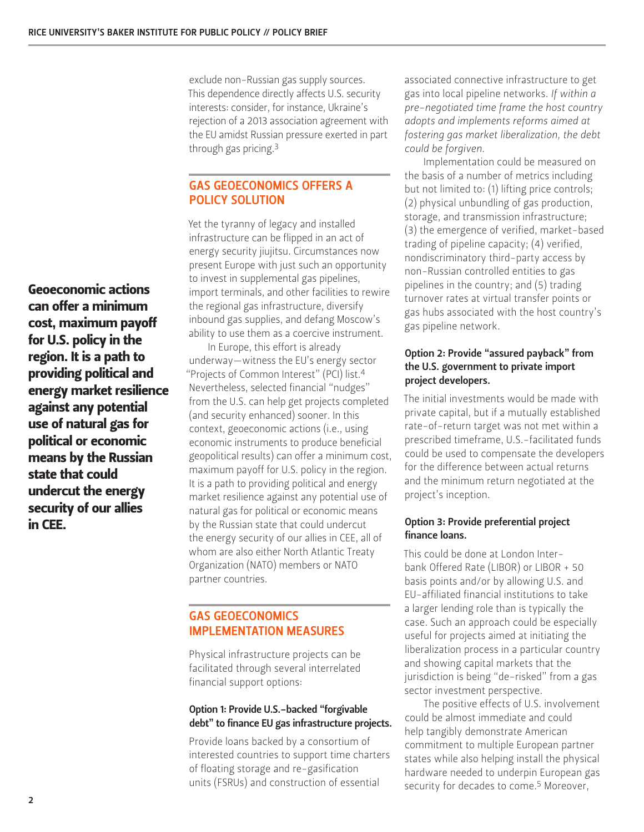Geoeconomic actions can offer a minimum cost, maximum payoff for U.S. policy in the region. It is a path to providing political and energy market resilience against any potential use of natural gas for political or economic means by the Russian state that could undercut the energy security of our allies in CEE.

exclude non-Russian gas supply sources. This dependence directly affects U.S. security interests: consider, for instance, Ukraine's rejection of a 2013 association agreement with the EU amidst Russian pressure exerted in part through gas pricing.3

### GAS GEOECONOMICS OFFERS A POLICY SOLUTION

Yet the tyranny of legacy and installed infrastructure can be flipped in an act of energy security jiujitsu. Circumstances now present Europe with just such an opportunity to invest in supplemental gas pipelines, import terminals, and other facilities to rewire the regional gas infrastructure, diversify inbound gas supplies, and defang Moscow's ability to use them as a coercive instrument.

In Europe, this effort is already underway—witness the EU's energy sector "Projects of Common Interest" (PCI) list.4 Nevertheless, selected financial "nudges" from the U.S. can help get projects completed (and security enhanced) sooner. In this context, geoeconomic actions (i.e., using economic instruments to produce beneficial geopolitical results) can offer a minimum cost, maximum payoff for U.S. policy in the region. It is a path to providing political and energy market resilience against any potential use of natural gas for political or economic means by the Russian state that could undercut the energy security of our allies in CEE, all of whom are also either North Atlantic Treaty Organization (NATO) members or NATO partner countries.

## GAS GEOECONOMICS IMPLEMENTATION MEASURES

Physical infrastructure projects can be facilitated through several interrelated financial support options:

#### Option 1: Provide U.S.-backed "forgivable debt" to finance EU gas infrastructure projects.

Provide loans backed by a consortium of interested countries to support time charters of floating storage and re-gasification units (FSRUs) and construction of essential

associated connective infrastructure to get gas into local pipeline networks. *If within a pre-negotiated time frame the host country adopts and implements reforms aimed at fostering gas market liberalization, the debt could be forgiven*.

Implementation could be measured on the basis of a number of metrics including but not limited to: (1) lifting price controls; (2) physical unbundling of gas production, storage, and transmission infrastructure; (3) the emergence of verified, market-based trading of pipeline capacity; (4) verified, nondiscriminatory third-party access by non-Russian controlled entities to gas pipelines in the country; and (5) trading turnover rates at virtual transfer points or gas hubs associated with the host country's gas pipeline network.

#### Option 2: Provide "assured payback" from the U.S. government to private import project developers.

The initial investments would be made with private capital, but if a mutually established rate-of-return target was not met within a prescribed timeframe, U.S.-facilitated funds could be used to compensate the developers for the difference between actual returns and the minimum return negotiated at the project's inception.

#### Option 3: Provide preferential project finance loans.

This could be done at London Interbank Offered Rate (LIBOR) or LIBOR + 50 basis points and/or by allowing U.S. and EU-affiliated financial institutions to take a larger lending role than is typically the case. Such an approach could be especially useful for projects aimed at initiating the liberalization process in a particular country and showing capital markets that the jurisdiction is being "de-risked" from a gas sector investment perspective.

The positive effects of U.S. involvement could be almost immediate and could help tangibly demonstrate American commitment to multiple European partner states while also helping install the physical hardware needed to underpin European gas security for decades to come.<sup>5</sup> Moreover,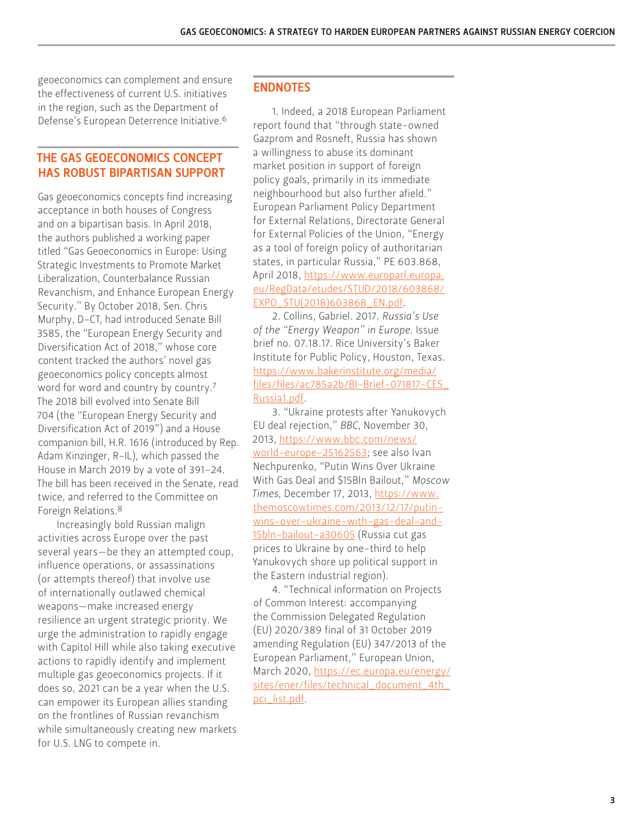geoeconomics can complement and ensure the effectiveness of current U.S. initiatives in the region, such as the Department of Defense's European Deterrence Initiative.6

#### THE GAS GEOECONOMICS CONCEPT HAS ROBUST BIPARTISAN SUPPORT

Gas geoeconomics concepts find increasing acceptance in both houses of Congress and on a bipartisan basis. In April 2018, the authors published a working paper titled "Gas Geoeconomics in Europe: Using Strategic Investments to Promote Market Liberalization, Counterbalance Russian Revanchism, and Enhance European Energy Security." By October 2018, Sen. Chris Murphy, D-CT, had introduced Senate Bill 3585, the "European Energy Security and Diversification Act of 2018," whose core content tracked the authors' novel gas geoeconomics policy concepts almost word for word and country by country.7 The 2018 bill evolved into Senate Bill 704 (the "European Energy Security and Diversification Act of 2019") and a House companion bill, H.R. 1616 (introduced by Rep. Adam Kinzinger, R-IL), which passed the House in March 2019 by a vote of 391–24. The bill has been received in the Senate, read twice, and referred to the Committee on Foreign Relations.8

Increasingly bold Russian malign activities across Europe over the past several years—be they an attempted coup, influence operations, or assassinations (or attempts thereof) that involve use of internationally outlawed chemical weapons—make increased energy resilience an urgent strategic priority. We urge the administration to rapidly engage with Capitol Hill while also taking executive actions to rapidly identify and implement multiple gas geoeconomics projects. If it does so, 2021 can be a year when the U.S. can empower its European allies standing on the frontlines of Russian revanchism while simultaneously creating new markets for U.S. LNG to compete in.

#### ENDNOTES

1. Indeed, a 2018 European Parliament report found that "through state-owned Gazprom and Rosneft, Russia has shown a willingness to abuse its dominant market position in support of foreign policy goals, primarily in its immediate neighbourhood but also further afield." European Parliament Policy Department for External Relations, Directorate General for External Policies of the Union, "Energy as a tool of foreign policy of authoritarian states, in particular Russia," PE 603.868, April 2018, [https://www.europarl.europa.](https://www.europarl.europa.eu/RegData/etudes/STUD/2018/603868/EXPO_STU(2018)603868_EN.pdf) [eu/RegData/etudes/STUD/2018/603868/](https://www.europarl.europa.eu/RegData/etudes/STUD/2018/603868/EXPO_STU(2018)603868_EN.pdf) [EXPO\\_STU\(2018\)603868\\_EN.pdf](https://www.europarl.europa.eu/RegData/etudes/STUD/2018/603868/EXPO_STU(2018)603868_EN.pdf).

2. Collins, Gabriel. 2017. *Russia's Use of the "Energy Weapon" in Europe*. Issue brief no. 07.18.17. Rice University's Baker Institute for Public Policy, Houston, Texas. [https://www.bakerinstitute.org/media/](https://www.bakerinstitute.org/media/files/files/ac785a2b/BI-Brief-071817-CES_Russia1.pdf) [files/files/ac785a2b/BI-Brief-071817-CES\\_](https://www.bakerinstitute.org/media/files/files/ac785a2b/BI-Brief-071817-CES_Russia1.pdf) [Russia1.pdf.](https://www.bakerinstitute.org/media/files/files/ac785a2b/BI-Brief-071817-CES_Russia1.pdf)

3. "Ukraine protests after Yanukovych EU deal rejection," *BBC*, November 30, 2013, [https://www.bbc.com/news/](https://www.bbc.com/news/world-europe-25162563) [world-europe-25162563](https://www.bbc.com/news/world-europe-25162563); see also Ivan Nechpurenko, "Putin Wins Over Ukraine With Gas Deal and \$15Bln Bailout," *Moscow Times*, December 17, 2013, [https://www.](https://www.themoscowtimes.com/2013/12/17/putin-wins-over-ukraine-with-gas-deal-and-15bln-bailout-a3) [themoscowtimes.com/2013/12/17/putin](https://www.themoscowtimes.com/2013/12/17/putin-wins-over-ukraine-with-gas-deal-and-15bln-bailout-a3)[wins-over-ukraine-with-gas-deal-and-](https://www.themoscowtimes.com/2013/12/17/putin-wins-over-ukraine-with-gas-deal-and-15bln-bailout-a3)[15bln-bailout-a30605](https://www.themoscowtimes.com/2013/12/17/putin-wins-over-ukraine-with-gas-deal-and-15bln-bailout-a3) (Russia cut gas prices to Ukraine by one-third to help Yanukovych shore up political support in the Eastern industrial region).

4. "Technical information on Projects of Common Interest: accompanying the Commission Delegated Regulation (EU) 2020/389 final of 31 October 2019 amending Regulation (EU) 347/2013 of the European Parliament," European Union, March 2020, [https://ec.europa.eu/energy/](https://ec.europa.eu/energy/sites/ener/files/technical_document_4th_pci_list.pdf) [sites/ener/files/technical\\_document\\_4th\\_](https://ec.europa.eu/energy/sites/ener/files/technical_document_4th_pci_list.pdf) [pci\\_list.pdf](https://ec.europa.eu/energy/sites/ener/files/technical_document_4th_pci_list.pdf).